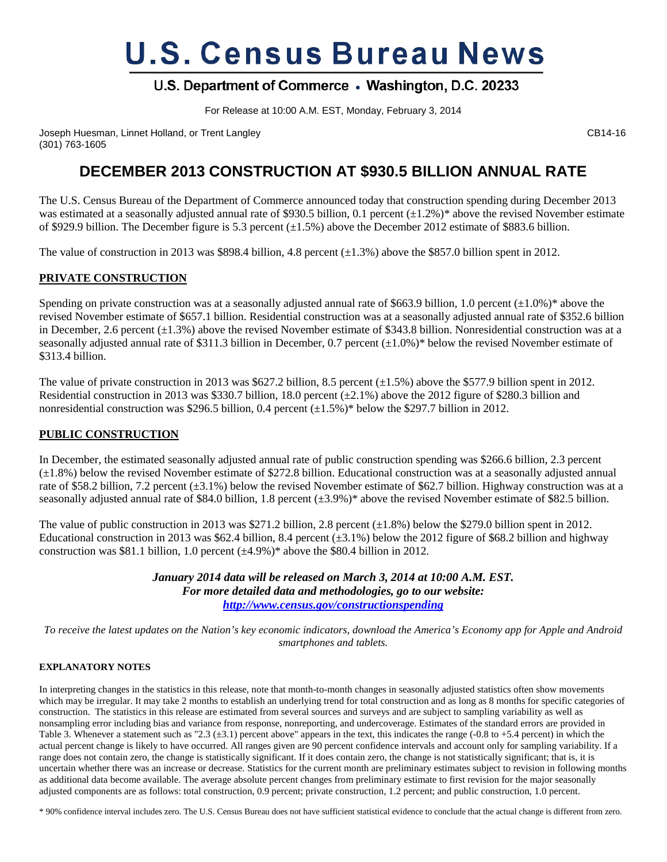# **U.S. Census Bureau News**

# U.S. Department of Commerce . Washington, D.C. 20233

For Release at 10:00 A.M. EST, Monday, February 3, 2014

Joseph Huesman, Linnet Holland, or Trent Langley Cases and Cases and Cases of Cases and CB14-16 (301) 763-1605

# **DECEMBER 2013 CONSTRUCTION AT \$930.5 BILLION ANNUAL RATE**

The U.S. Census Bureau of the Department of Commerce announced today that construction spending during December 2013 was estimated at a seasonally adjusted annual rate of \$930.5 billion, 0.1 percent  $(\pm 1.2\%)^*$  above the revised November estimate of \$929.9 billion. The December figure is 5.3 percent  $(\pm 1.5\%)$  above the December 2012 estimate of \$883.6 billion.

The value of construction in 2013 was \$898.4 billion, 4.8 percent  $(\pm 1.3\%)$  above the \$857.0 billion spent in 2012.

## **PRIVATE CONSTRUCTION**

Spending on private construction was at a seasonally adjusted annual rate of \$663.9 billion, 1.0 percent  $(\pm 1.0\%)^*$  above the revised November estimate of \$657.1 billion. Residential construction was at a seasonally adjusted annual rate of \$352.6 billion in December, 2.6 percent  $(\pm 1.3\%)$  above the revised November estimate of \$343.8 billion. Nonresidential construction was at a seasonally adjusted annual rate of \$311.3 billion in December, 0.7 percent  $(\pm 1.0\%)^*$  below the revised November estimate of \$313.4 billion.

The value of private construction in 2013 was \$627.2 billion, 8.5 percent  $(\pm 1.5\%)$  above the \$577.9 billion spent in 2012. Residential construction in 2013 was \$330.7 billion, 18.0 percent (±2.1%) above the 2012 figure of \$280.3 billion and nonresidential construction was \$296.5 billion, 0.4 percent  $(\pm 1.5\%)^*$  below the \$297.7 billion in 2012.

### **PUBLIC CONSTRUCTION**

In December, the estimated seasonally adjusted annual rate of public construction spending was \$266.6 billion, 2.3 percent (±1.8%) below the revised November estimate of \$272.8 billion. Educational construction was at a seasonally adjusted annual rate of \$58.2 billion, 7.2 percent (±3.1%) below the revised November estimate of \$62.7 billion. Highway construction was at a seasonally adjusted annual rate of \$84.0 billion, 1.8 percent  $(\pm 3.9\%)^*$  above the revised November estimate of \$82.5 billion.

The value of public construction in 2013 was \$271.2 billion, 2.8 percent  $(\pm 1.8\%)$  below the \$279.0 billion spent in 2012. Educational construction in 2013 was \$62.4 billion, 8.4 percent  $(\pm 3.1\%)$  below the 2012 figure of \$68.2 billion and highway construction was \$81.1 billion, 1.0 percent  $(\pm 4.9\%)^*$  above the \$80.4 billion in 2012.

> *January 2014 data will be released on March 3, 2014 at 10:00 A.M. EST. For more detailed data and methodologies, go to our website: <http://www.census.gov/constructionspending>*

*To receive the latest updates on the Nation's key economic indicators, download the America's Economy app for Apple and Android smartphones and tablets.*

#### **EXPLANATORY NOTES**

In interpreting changes in the statistics in this release, note that month-to-month changes in seasonally adjusted statistics often show movements which may be irregular. It may take 2 months to establish an underlying trend for total construction and as long as 8 months for specific categories of construction. The statistics in this release are estimated from several sources and surveys and are subject to sampling variability as well as nonsampling error including bias and variance from response, nonreporting, and undercoverage. Estimates of the standard errors are provided in Table 3. Whenever a statement such as "2.3 ( $\pm$ 3.1) percent above" appears in the text, this indicates the range (-0.8 to +5.4 percent) in which the actual percent change is likely to have occurred. All ranges given are 90 percent confidence intervals and account only for sampling variability. If a range does not contain zero, the change is statistically significant. If it does contain zero, the change is not statistically significant; that is, it is uncertain whether there was an increase or decrease. Statistics for the current month are preliminary estimates subject to revision in following months as additional data become available. The average absolute percent changes from preliminary estimate to first revision for the major seasonally adjusted components are as follows: total construction, 0.9 percent; private construction, 1.2 percent; and public construction, 1.0 percent.

\* 90% confidence interval includes zero. The U.S. Census Bureau does not have sufficient statistical evidence to conclude that the actual change is different from zero.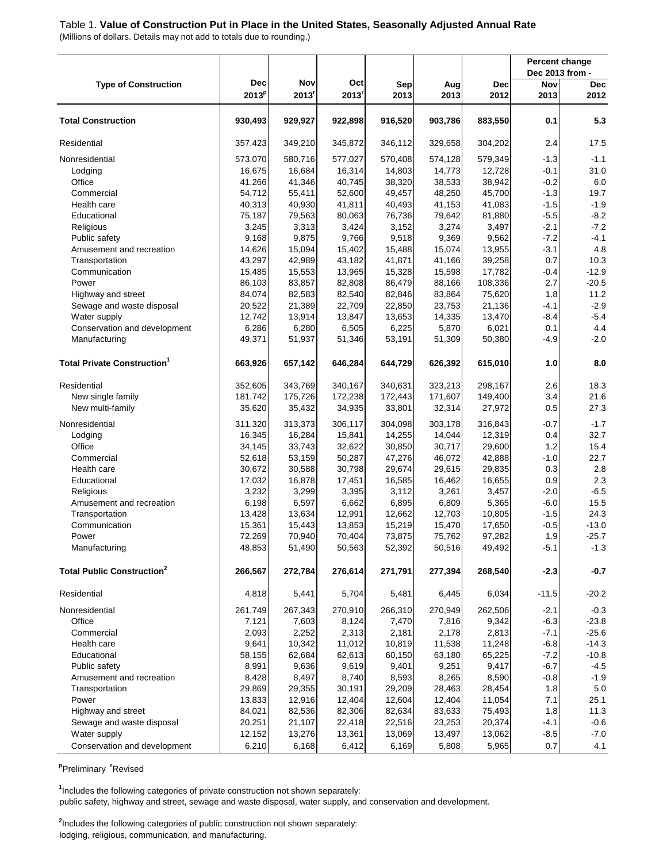## Table 1. **Value of Construction Put in Place in the United States, Seasonally Adjusted Annual Rate**

(Millions of dollars. Details may not add to totals due to rounding.)

|                                              |                   |                     |         |         |         |         |                               | <b>Percent change</b> |
|----------------------------------------------|-------------------|---------------------|---------|---------|---------|---------|-------------------------------|-----------------------|
| <b>Type of Construction</b>                  | <b>Dec</b>        | Nov                 | Oct     | Sepl    | Aug     | Dec     | Dec 2013 from -<br><b>Nov</b> | <b>Dec</b>            |
|                                              | 2013 <sup>p</sup> | $2013$ <sup>r</sup> | 2013'   | 2013    | 2013    | 2012    | 2013                          | 2012                  |
|                                              |                   |                     |         |         |         |         |                               |                       |
| <b>Total Construction</b>                    | 930,493           | 929,927             | 922,898 | 916,520 | 903,786 | 883,550 | 0.1                           | 5.3                   |
| Residential                                  | 357,423           | 349,210             | 345,872 | 346,112 | 329,658 | 304,202 | 2.4                           | 17.5                  |
| Nonresidential                               | 573,070           | 580,716             | 577,027 | 570,408 | 574,128 | 579,349 | $-1.3$                        | $-1.1$                |
| Lodging                                      | 16,675            | 16,684              | 16,314  | 14,803  | 14,773  | 12,728  | $-0.1$                        | 31.0                  |
| Office                                       | 41,266            | 41,346              | 40,745  | 38,320  | 38,533  | 38,942  | $-0.2$                        | 6.0                   |
| Commercial                                   | 54,712            | 55,411              | 52,600  | 49,457  | 48,250  | 45,700  | $-1.3$                        | 19.7                  |
| Health care                                  | 40,313            | 40,930              | 41,811  | 40,493  | 41,153  | 41,083  | $-1.5$                        | $-1.9$                |
| Educational                                  | 75,187            | 79,563              | 80,063  | 76,736  | 79,642  | 81,880  | $-5.5$                        | $-8.2$                |
| Religious                                    | 3,245             | 3,313               | 3,424   | 3,152   | 3,274   | 3,497   | $-2.1$                        | $-7.2$                |
| Public safety                                | 9,168             | 9,875               | 9,766   | 9,518   | 9,369   | 9,562   | $-7.2$                        | $-4.1$                |
| Amusement and recreation                     | 14,626            | 15,094              | 15,402  | 15,488  | 15,074  | 13,955  | $-3.1$                        | 4.8                   |
| Transportation                               | 43,297            | 42,989              | 43,182  | 41,871  | 41,166  | 39,258  | 0.7                           | 10.3                  |
| Communication                                | 15,485            | 15,553              | 13,965  | 15,328  | 15,598  | 17,782  | $-0.4$                        | $-12.9$               |
| Power                                        | 86,103            | 83,857              | 82,808  | 86,479  | 88,166  | 108,336 | 2.7                           | $-20.5$               |
| Highway and street                           | 84,074            | 82,583              | 82,540  | 82,846  | 83,864  | 75,620  | 1.8                           | 11.2                  |
| Sewage and waste disposal                    | 20,522            | 21,389              | 22,709  | 22,850  | 23,753  | 21,136  | $-4.1$                        | $-2.9$                |
| Water supply                                 | 12,742            | 13,914              | 13,847  | 13,653  | 14,335  | 13,470  | $-8.4$                        | $-5.4$                |
| Conservation and development                 | 6,286             | 6,280               | 6,505   | 6,225   | 5,870   | 6,021   | 0.1                           | 4.4                   |
| Manufacturing                                | 49,371            | 51,937              | 51,346  | 53,191  | 51,309  | 50,380  | $-4.9$                        | $-2.0$                |
| <b>Total Private Construction</b>            | 663,926           | 657,142             | 646,284 | 644,729 | 626,392 | 615,010 | 1.0                           | 8.0                   |
| Residential                                  | 352,605           | 343,769             | 340,167 | 340,631 | 323,213 | 298,167 | 2.6                           | 18.3                  |
| New single family                            | 181,742           | 175,726             | 172,238 | 172,443 | 171,607 | 149,400 | 3.4                           | 21.6                  |
| New multi-family                             | 35,620            | 35,432              | 34,935  | 33,801  | 32,314  | 27,972  | 0.5                           | 27.3                  |
| Nonresidential                               | 311,320           | 313,373             | 306,117 | 304,098 | 303,178 | 316,843 | $-0.7$                        | $-1.7$                |
| Lodging                                      | 16,345            | 16,284              | 15,841  | 14,255  | 14,044  | 12,319  | 0.4                           | 32.7                  |
| Office                                       | 34,145            | 33,743              | 32,622  | 30,850  | 30,717  | 29,600  | 1.2                           | 15.4                  |
| Commercial                                   | 52,618            | 53,159              | 50,287  | 47,276  | 46,072  | 42,888  | $-1.0$                        | 22.7                  |
| Health care                                  | 30,672            | 30,588              | 30,798  | 29,674  | 29,615  | 29,835  | 0.3                           | 2.8                   |
| Educational                                  | 17,032            | 16,878              | 17,451  | 16,585  | 16,462  | 16,655  | 0.9                           | 2.3                   |
| Religious                                    | 3,232             | 3,299               | 3,395   | 3,112   | 3,261   | 3,457   | $-2.0$                        | $-6.5$                |
| Amusement and recreation                     | 6,198             | 6,597               | 6,662   | 6,895   | 6,809   | 5,365   | $-6.0$                        | 15.5                  |
| Transportation                               | 13,428            | 13,634              | 12,991  | 12,662  | 12,703  | 10,805  | $-1.5$                        | 24.3                  |
| Communication                                | 15,361            | 15,443              | 13,853  | 15,219  | 15,470  | 17,650  | $-0.5$                        | $-13.0$               |
| Power                                        | 72,269            | 70,940              | 70,404  | 73,875  | 75,762  | 97,282  | 1.9                           | $-25.7$               |
| Manufacturing                                | 48,853            | 51,490              | 50,563  | 52,392  | 50,516  | 49,492  | $-5.1$                        | $-1.3$                |
| <b>Total Public Construction<sup>2</sup></b> | 266,567           | 272,784             | 276,614 | 271,791 | 277,394 | 268,540 | $-2.3$                        | $-0.7$                |
| Residential                                  | 4,818             | 5,441               | 5,704   | 5,481   | 6,445   | 6,034   | $-11.5$                       | $-20.2$               |
| Nonresidential                               | 261,749           | 267,343             | 270,910 | 266,310 | 270,949 | 262,506 | $-2.1$                        | $-0.3$                |
| Office                                       | 7,121             | 7,603               | 8,124   | 7,470   | 7,816   | 9,342   | $-6.3$                        | $-23.8$               |
| Commercial                                   | 2,093             | 2,252               | 2,313   | 2,181   | 2,178   | 2,813   | $-7.1$                        | $-25.6$               |
| Health care                                  | 9,641             | 10,342              | 11,012  | 10,819  | 11,538  | 11,248  | $-6.8$                        | $-14.3$               |
| Educational                                  | 58,155            | 62,684              | 62,613  | 60,150  | 63,180  | 65,225  | $-7.2$                        | $-10.8$               |
| Public safety                                | 8,991             | 9,636               | 9,619   | 9,401   | 9,251   | 9,417   | $-6.7$                        | $-4.5$                |
| Amusement and recreation                     | 8,428             | 8,497               | 8,740   | 8,593   | 8,265   | 8,590   | $-0.8$                        | $-1.9$                |
| Transportation                               | 29,869            | 29,355              | 30,191  | 29,209  | 28,463  | 28,454  | 1.8                           | $5.0\,$               |
| Power                                        | 13,833            | 12,916              | 12,404  | 12,604  | 12,404  | 11,054  | 7.1                           | 25.1                  |
| Highway and street                           | 84,021            | 82,536              | 82,306  | 82,634  | 83,633  | 75,493  | 1.8                           | 11.3                  |
| Sewage and waste disposal                    | 20,251            | 21,107              | 22,418  | 22,516  | 23,253  | 20,374  | $-4.1$                        | $-0.6$                |
| Water supply                                 | 12,152            | 13,276              | 13,361  | 13,069  | 13,497  | 13,062  | $-8.5$                        | $-7.0$                |
| Conservation and development                 | 6,210             | 6,168               | 6,412   | 6,169   | 5,808   | 5,965   | 0.7                           | 4.1                   |

**p** Preliminary **<sup>r</sup>** Revised

public safety, highway and street, sewage and waste disposal, water supply, and conservation and development. **1** Includes the following categories of private construction not shown separately:

**2** Includes the following categories of public construction not shown separately: lodging, religious, communication, and manufacturing.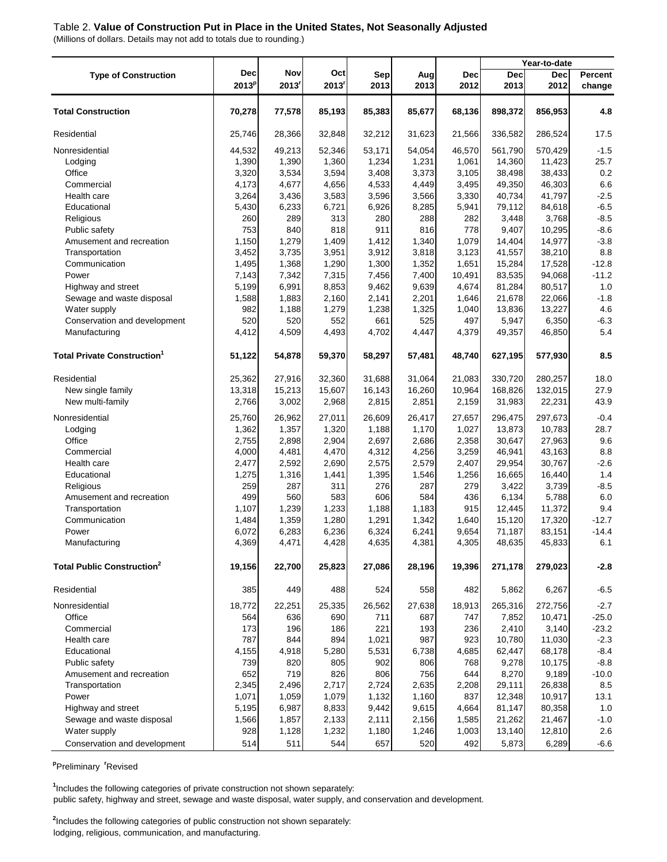#### Table 2. **Value of Construction Put in Place in the United States, Not Seasonally Adjusted**

(Millions of dollars. Details may not add to totals due to rounding.)

|                                               |                 |              |              |             |             |                    | Year-to-date       |                    |                          |
|-----------------------------------------------|-----------------|--------------|--------------|-------------|-------------|--------------------|--------------------|--------------------|--------------------------|
| <b>Type of Construction</b>                   | Dec<br>$2013^p$ | Nov<br>2013' | Oct<br>2013' | Sep<br>2013 | Aug<br>2013 | <b>Dec</b><br>2012 | <b>Dec</b><br>2013 | <b>Dec</b><br>2012 | <b>Percent</b><br>change |
| <b>Total Construction</b>                     | 70,278          | 77,578       | 85,193       | 85,383      | 85,677      | 68,136             | 898,372            | 856,953            | 4.8                      |
| Residential                                   | 25,746          | 28,366       | 32,848       | 32,212      | 31,623      | 21,566             | 336,582            | 286,524            | 17.5                     |
| Nonresidential                                | 44,532          | 49,213       | 52,346       | 53,171      | 54,054      | 46,570             | 561,790            | 570,429            | $-1.5$                   |
| Lodging                                       | 1,390           | 1,390        | 1,360        | 1,234       | 1,231       | 1,061              | 14,360             | 11,423             | 25.7                     |
| Office                                        | 3,320           | 3,534        | 3,594        | 3,408       | 3,373       | 3,105              | 38,498             | 38,433             | 0.2                      |
| Commercial                                    | 4,173           | 4,677        | 4,656        | 4,533       | 4,449       | 3,495              | 49,350             | 46,303             | 6.6                      |
| Health care                                   | 3,264           | 3,436        | 3,583        | 3,596       | 3,566       | 3,330              | 40,734             | 41,797             | $-2.5$                   |
| Educational                                   | 5,430           | 6,233        | 6,721        | 6,926       | 8,285       | 5,941              | 79,112             | 84,618             | $-6.5$                   |
| Religious                                     | 260             | 289          | 313          | 280         | 288         | 282                | 3,448              | 3,768              | $-8.5$                   |
| Public safety                                 | 753             | 840          | 818          | 911         | 816         | 778                | 9,407              | 10,295             | $-8.6$                   |
| Amusement and recreation                      | 1,150           | 1,279        | 1,409        | 1,412       | 1,340       | 1,079              | 14,404             | 14,977             | $-3.8$                   |
| Transportation                                | 3,452           | 3,735        | 3,951        | 3,912       | 3,818       | 3,123              | 41,557             | 38,210             | 8.8                      |
| Communication                                 | 1,495           | 1,368        | 1,290        | 1,300       | 1,352       | 1,651              | 15,284             | 17,528             | $-12.8$                  |
| Power                                         | 7,143           | 7,342        | 7,315        | 7,456       | 7,400       | 10,491             | 83,535             | 94,068             | $-11.2$                  |
| Highway and street                            | 5,199           | 6,991        | 8,853        | 9,462       | 9,639       | 4,674              | 81,284             | 80,517             | 1.0                      |
| Sewage and waste disposal                     | 1,588           | 1,883        | 2,160        | 2,141       | 2,201       | 1,646              | 21,678             | 22,066             | $-1.8$                   |
| Water supply                                  | 982             | 1,188        | 1,279        | 1,238       | 1,325       | 1,040              | 13,836             | 13,227             | 4.6                      |
| Conservation and development                  | 520             | 520          | 552          | 661         | 525         | 497                | 5,947              | 6,350              | $-6.3$                   |
| Manufacturing                                 | 4,412           | 4,509        | 4,493        | 4,702       | 4,447       | 4,379              | 49,357             | 46,850             | 5.4                      |
| <b>Total Private Construction<sup>1</sup></b> | 51,122          | 54,878       | 59,370       | 58,297      | 57,481      | 48,740             | 627,195            | 577,930            | 8.5                      |
| Residential                                   | 25,362          | 27,916       | 32,360       | 31,688      | 31,064      | 21,083             | 330,720            | 280,257            | 18.0                     |
| New single family                             | 13,318          | 15,213       | 15,607       | 16,143      | 16,260      | 10,964             | 168,826            | 132,015            | 27.9                     |
| New multi-family                              | 2,766           | 3,002        | 2,968        | 2,815       | 2,851       | 2,159              | 31,983             | 22,231             | 43.9                     |
| Nonresidential                                | 25,760          | 26,962       | 27,011       | 26,609      | 26,417      | 27,657             | 296,475            | 297,673            | $-0.4$                   |
| Lodging                                       | 1,362           | 1,357        | 1,320        | 1,188       | 1,170       | 1,027              | 13,873             | 10,783             | 28.7                     |
| Office                                        | 2,755           | 2,898        | 2,904        | 2,697       | 2,686       | 2,358              | 30,647             | 27,963             | 9.6                      |
| Commercial                                    | 4,000           | 4,481        | 4,470        | 4,312       | 4,256       | 3,259              | 46,941             | 43,163             | 8.8                      |
| Health care                                   | 2,477           | 2,592        | 2,690        | 2,575       | 2,579       | 2,407              | 29,954             | 30,767             | $-2.6$                   |
| Educational                                   | 1,275           | 1,316        | 1,441        | 1,395       | 1,546       | 1,256              | 16,665             | 16,440             | 1.4                      |
| Religious                                     | 259             | 287          | 311          | 276         | 287         | 279                | 3,422              | 3,739              | $-8.5$                   |
| Amusement and recreation                      | 499             | 560          | 583          | 606         | 584         | 436                | 6,134              | 5,788              | 6.0                      |
| Transportation                                | 1,107           | 1,239        | 1,233        | 1,188       | 1,183       | 915                | 12,445             | 11,372             | 9.4                      |
| Communication                                 | 1,484           | 1,359        | 1,280        | 1,291       | 1,342       | 1,640              | 15,120             | 17,320             | $-12.7$                  |
| Power                                         | 6,072           | 6,283        | 6,236        | 6,324       | 6,241       | 9,654              | 71,187             | 83,151             | $-14.4$                  |
| Manufacturing                                 | 4,369           | 4,471        | 4,428        | 4,635       | 4,381       | 4,305              | 48,635             | 45,833             | 6.1                      |
| <b>Total Public Construction<sup>2</sup></b>  | 19,156          | 22,700       | 25,823       | 27,086      | 28,196      | 19,396             | 271,178            | 279,023            | $-2.8$                   |
| Residential                                   | 385             | 449          | 488          | 524         | 558         | 482                | 5,862              | 6,267              | $-6.5$                   |
| Nonresidential                                | 18,772          | 22,251       | 25,335       | 26,562      | 27,638      | 18,913             | 265,316            | 272,756            | $-2.7$                   |
| Office                                        | 564             | 636          | 690          | 711         | 687         | 747                | 7,852              | 10,471             | $-25.0$                  |
| Commercial                                    | 173             | 196          | 186          | 221         | 193         | 236                | 2,410              | 3,140              | $-23.2$                  |
| Health care                                   | 787             | 844          | 894          | 1,021       | 987         | 923                | 10,780             | 11,030             | $-2.3$                   |
| Educational                                   | 4,155           | 4,918        | 5,280        | 5,531       | 6,738       | 4,685              | 62,447             | 68,178             | $-8.4$                   |
| Public safety                                 | 739             | 820          | 805          | 902         | 806         | 768                | 9,278              | 10,175             | $-8.8$                   |
| Amusement and recreation                      | 652             | 719          | 826          | 806         | 756         | 644                | 8,270              | 9,189              | $-10.0$                  |
| Transportation                                | 2,345           | 2,496        | 2,717        | 2,724       | 2,635       | 2,208              | 29,111             | 26,838             | 8.5                      |
| Power                                         | 1,071           | 1,059        | 1,079        | 1,132       | 1,160       | 837                | 12,348             | 10,917             | 13.1                     |
| Highway and street                            | 5,195           | 6,987        | 8,833        | 9,442       | 9,615       | 4,664              | 81,147             | 80,358             | 1.0                      |
| Sewage and waste disposal                     | 1,566           | 1,857        | 2,133        | 2,111       | 2,156       | 1,585              | 21,262             | 21,467             | $-1.0$                   |
| Water supply                                  | 928             | 1,128        | 1,232        | 1,180       | 1,246       | 1,003              | 13,140             | 12,810             | 2.6                      |
| Conservation and development                  | 514             | 511          | 544          | 657         | 520         | 492                | 5,873              | 6,289              | $-6.6$                   |

**p** Preliminary **<sup>r</sup>** Revised

public safety, highway and street, sewage and waste disposal, water supply, and conservation and development. **1** Includes the following categories of private construction not shown separately:

**2** Includes the following categories of public construction not shown separately: lodging, religious, communication, and manufacturing.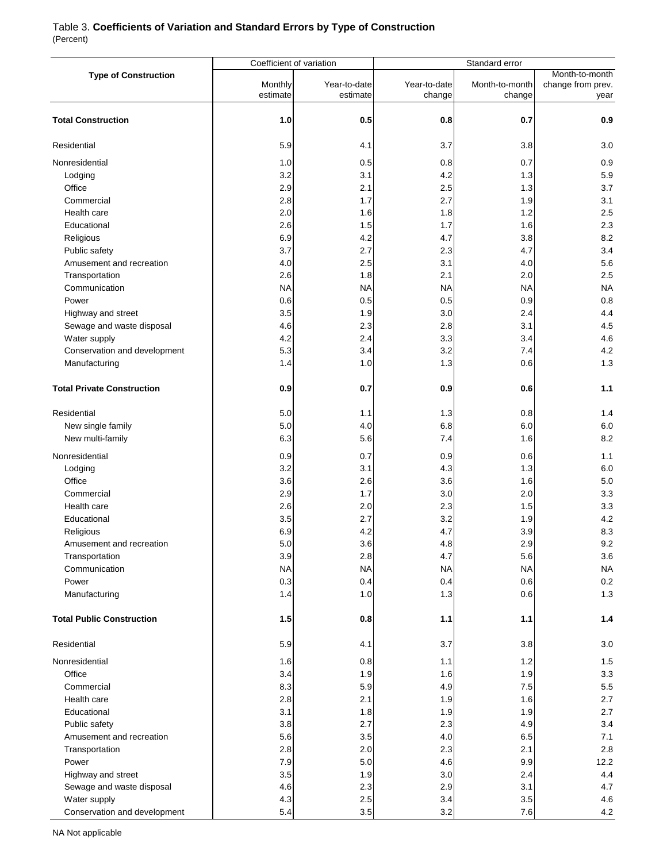#### Table 3. **Coefficients of Variation and Standard Errors by Type of Construction** (Percent)

|                                              | Coefficient of variation |                          | Standard error         |                          |                                             |  |
|----------------------------------------------|--------------------------|--------------------------|------------------------|--------------------------|---------------------------------------------|--|
| <b>Type of Construction</b>                  | Monthly<br>estimate      | Year-to-date<br>estimate | Year-to-date<br>change | Month-to-month<br>change | Month-to-month<br>change from prev.<br>year |  |
| <b>Total Construction</b>                    | 1.0                      | 0.5                      | 0.8                    | 0.7                      | 0.9                                         |  |
| Residential                                  | 5.9                      | 4.1                      | 3.7                    | 3.8                      | 3.0                                         |  |
| Nonresidential                               | 1.0                      | 0.5                      | 0.8                    | 0.7                      | 0.9                                         |  |
| Lodging                                      | 3.2                      | 3.1                      | 4.2                    | 1.3                      | 5.9                                         |  |
| Office                                       | 2.9                      | 2.1                      | 2.5                    | 1.3                      | 3.7                                         |  |
| Commercial                                   | 2.8                      | 1.7                      | 2.7                    | 1.9                      | 3.1                                         |  |
| Health care                                  | 2.0                      | 1.6                      | 1.8                    | 1.2                      | 2.5                                         |  |
| Educational                                  | 2.6                      | 1.5                      | 1.7                    | 1.6                      | 2.3                                         |  |
| Religious                                    | 6.9                      | 4.2                      | 4.7                    | 3.8                      | 8.2                                         |  |
| Public safety                                | 3.7                      | 2.7                      | 2.3                    | 4.7                      | 3.4                                         |  |
| Amusement and recreation                     | 4.0                      | 2.5                      | 3.1                    | 4.0                      | 5.6                                         |  |
| Transportation                               | 2.6                      | 1.8                      | 2.1                    | 2.0                      | 2.5                                         |  |
| Communication                                | <b>NA</b>                | <b>NA</b>                | <b>NA</b>              | <b>NA</b>                | <b>NA</b>                                   |  |
| Power                                        | 0.6                      | 0.5                      | 0.5                    | 0.9                      | 0.8                                         |  |
| Highway and street                           | 3.5                      | 1.9                      | 3.0                    | 2.4                      | 4.4                                         |  |
| Sewage and waste disposal                    | 4.6                      | 2.3                      | 2.8                    | 3.1                      | 4.5                                         |  |
| Water supply                                 | 4.2                      | 2.4                      | 3.3                    | 3.4                      | 4.6                                         |  |
| Conservation and development                 | 5.3                      | 3.4                      | 3.2                    | 7.4                      | 4.2                                         |  |
| Manufacturing                                | 1.4                      | 1.0                      | 1.3                    | 0.6                      | 1.3                                         |  |
| <b>Total Private Construction</b>            | 0.9                      | 0.7                      | 0.9                    | 0.6                      | 1.1                                         |  |
| Residential                                  | 5.0                      | 1.1                      | 1.3                    | 0.8                      | 1.4                                         |  |
| New single family                            | 5.0                      | 4.0                      | 6.8                    | 6.0                      | 6.0                                         |  |
| New multi-family                             | 6.3                      | 5.6                      | 7.4                    | 1.6                      | 8.2                                         |  |
| Nonresidential                               | 0.9                      | 0.7                      | 0.9                    | 0.6                      | 1.1                                         |  |
| Lodging                                      | 3.2                      | 3.1                      | 4.3                    | 1.3                      | 6.0                                         |  |
| Office                                       | 3.6                      | 2.6                      | 3.6                    | 1.6                      | 5.0                                         |  |
| Commercial                                   | 2.9                      | 1.7                      | 3.0                    | 2.0                      | 3.3                                         |  |
| Health care                                  | 2.6                      | 2.0                      | 2.3                    | 1.5                      | 3.3                                         |  |
| Educational                                  | 3.5                      | 2.7                      | 3.2                    | 1.9                      | 4.2                                         |  |
| Religious                                    | 6.9                      | 4.2                      | 4.7                    | 3.9                      | 8.3                                         |  |
| Amusement and recreation                     | 5.0                      | 3.6                      | 4.8                    | 2.9                      | 9.2                                         |  |
| Transportation                               | 3.9                      | 2.8                      | 4.7                    | 5.6                      | 3.6                                         |  |
| Communication                                | <b>NA</b>                | <b>NA</b>                | <b>NA</b>              | <b>NA</b>                | <b>NA</b>                                   |  |
| Power                                        | 0.3                      | 0.4                      | 0.4                    | 0.6                      | 0.2                                         |  |
| Manufacturing                                | 1.4                      | 1.0                      | 1.3                    | 0.6                      | 1.3                                         |  |
| <b>Total Public Construction</b>             | 1.5                      | 0.8                      | 1.1                    | 1.1                      | 1.4                                         |  |
| Residential                                  | 5.9                      | 4.1                      | 3.7                    | 3.8                      | 3.0                                         |  |
| Nonresidential                               | 1.6                      | 0.8                      | 1.1                    | 1.2                      | 1.5                                         |  |
| Office                                       | 3.4                      | 1.9                      | 1.6                    | 1.9                      | 3.3                                         |  |
| Commercial                                   | 8.3                      | 5.9                      | 4.9                    | 7.5                      | 5.5                                         |  |
| Health care                                  | 2.8                      | 2.1                      | 1.9                    | 1.6                      | 2.7                                         |  |
| Educational                                  | 3.1                      | 1.8                      | 1.9                    | 1.9                      | 2.7                                         |  |
| Public safety                                | 3.8                      | 2.7                      | 2.3                    | 4.9                      | 3.4                                         |  |
| Amusement and recreation                     | 5.6                      | 3.5                      | 4.0                    | 6.5                      | 7.1                                         |  |
| Transportation                               | 2.8                      | 2.0                      | 2.3                    | 2.1                      | 2.8                                         |  |
| Power                                        | 7.9                      | 5.0                      | 4.6                    | 9.9                      | 12.2                                        |  |
| Highway and street                           | 3.5                      | 1.9                      | 3.0                    | 2.4                      | 4.4                                         |  |
| Sewage and waste disposal                    | 4.6                      | 2.3                      | 2.9                    | 3.1                      | 4.7                                         |  |
| Water supply<br>Conservation and development | 4.3<br>5.4               | $2.5\,$<br>3.5           | 3.4<br>3.2             | 3.5<br>7.6               | 4.6<br>4.2                                  |  |
|                                              |                          |                          |                        |                          |                                             |  |